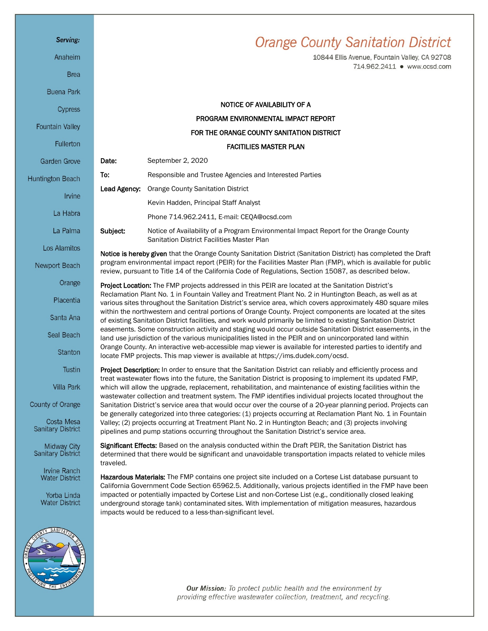## Serving:

Anaheim

**Brea** 

**Buena Park** 

Cypress

Fountain Valley

Fullerton

**Garden Grove** 

Huntington Beach

Irvine

La Habra

La Palma

Los Alamitos

Newport Beach

Orange

Placentia

Santa Ana

Seal Beach

Stanton

Tustin

Villa Park

County of Orange

Costa Mesa **Sanitary District** 

Midway City<br>Sanitary District

**Irvine Ranch Water District** 

Yorba Linda **Water District** 



**Orange County Sanitation District** 

10844 Ellis Avenue, Fountain Valley, CA 92708 714.962.2411 · www.ocsd.com

|                                                                                                                                                                                                                                                                                                                                                                                                                                                                                                                                                                                                                                                                                                                                                                                                                                                                                                                                                                                              | NOTICE OF AVAILABILITY OF A                                                                                                                                                                                                                                                                                                                                                                                                              |
|----------------------------------------------------------------------------------------------------------------------------------------------------------------------------------------------------------------------------------------------------------------------------------------------------------------------------------------------------------------------------------------------------------------------------------------------------------------------------------------------------------------------------------------------------------------------------------------------------------------------------------------------------------------------------------------------------------------------------------------------------------------------------------------------------------------------------------------------------------------------------------------------------------------------------------------------------------------------------------------------|------------------------------------------------------------------------------------------------------------------------------------------------------------------------------------------------------------------------------------------------------------------------------------------------------------------------------------------------------------------------------------------------------------------------------------------|
|                                                                                                                                                                                                                                                                                                                                                                                                                                                                                                                                                                                                                                                                                                                                                                                                                                                                                                                                                                                              | PROGRAM ENVIRONMENTAL IMPACT REPORT                                                                                                                                                                                                                                                                                                                                                                                                      |
|                                                                                                                                                                                                                                                                                                                                                                                                                                                                                                                                                                                                                                                                                                                                                                                                                                                                                                                                                                                              | FOR THE ORANGE COUNTY SANITATION DISTRICT                                                                                                                                                                                                                                                                                                                                                                                                |
| <b>FACITILIES MASTER PLAN</b>                                                                                                                                                                                                                                                                                                                                                                                                                                                                                                                                                                                                                                                                                                                                                                                                                                                                                                                                                                |                                                                                                                                                                                                                                                                                                                                                                                                                                          |
| Date:                                                                                                                                                                                                                                                                                                                                                                                                                                                                                                                                                                                                                                                                                                                                                                                                                                                                                                                                                                                        | September 2, 2020                                                                                                                                                                                                                                                                                                                                                                                                                        |
| To:                                                                                                                                                                                                                                                                                                                                                                                                                                                                                                                                                                                                                                                                                                                                                                                                                                                                                                                                                                                          | Responsible and Trustee Agencies and Interested Parties                                                                                                                                                                                                                                                                                                                                                                                  |
| Lead Agency:                                                                                                                                                                                                                                                                                                                                                                                                                                                                                                                                                                                                                                                                                                                                                                                                                                                                                                                                                                                 | <b>Orange County Sanitation District</b>                                                                                                                                                                                                                                                                                                                                                                                                 |
|                                                                                                                                                                                                                                                                                                                                                                                                                                                                                                                                                                                                                                                                                                                                                                                                                                                                                                                                                                                              | Kevin Hadden, Principal Staff Analyst                                                                                                                                                                                                                                                                                                                                                                                                    |
|                                                                                                                                                                                                                                                                                                                                                                                                                                                                                                                                                                                                                                                                                                                                                                                                                                                                                                                                                                                              | Phone 714.962.2411, E-mail: CEQA@ocsd.com                                                                                                                                                                                                                                                                                                                                                                                                |
| Subject:                                                                                                                                                                                                                                                                                                                                                                                                                                                                                                                                                                                                                                                                                                                                                                                                                                                                                                                                                                                     | Notice of Availability of a Program Environmental Impact Report for the Orange County<br>Sanitation District Facilities Master Plan                                                                                                                                                                                                                                                                                                      |
| Notice is hereby given that the Orange County Sanitation District (Sanitation District) has completed the Draft<br>program environmental impact report (PEIR) for the Facilities Master Plan (FMP), which is available for public<br>review, pursuant to Title 14 of the California Code of Regulations, Section 15087, as described below.                                                                                                                                                                                                                                                                                                                                                                                                                                                                                                                                                                                                                                                  |                                                                                                                                                                                                                                                                                                                                                                                                                                          |
| Project Location: The FMP projects addressed in this PEIR are located at the Sanitation District's<br>Reclamation Plant No. 1 in Fountain Valley and Treatment Plant No. 2 in Huntington Beach, as well as at<br>various sites throughout the Sanitation District's service area, which covers approximately 480 square miles<br>within the northwestern and central portions of Orange County. Project components are located at the sites<br>of existing Sanitation District facilities, and work would primarily be limited to existing Sanitation District<br>easements. Some construction activity and staging would occur outside Sanitation District easements, in the<br>land use jurisdiction of the various municipalities listed in the PEIR and on unincorporated land within<br>Orange County. An interactive web-accessible map viewer is available for interested parties to identify and<br>locate FMP projects. This map viewer is available at https://ims.dudek.com/ocsd. |                                                                                                                                                                                                                                                                                                                                                                                                                                          |
| Project Description: In order to ensure that the Sanitation District can reliably and efficiently process and<br>treat wastewater flows into the future, the Sanitation District is proposing to implement its updated FMP,<br>which will allow the upgrade, replacement, rehabilitation, and maintenance of existing facilities within the<br>wastewater collection and treatment system. The FMP identifies individual projects located throughout the<br>Sanitation District's service area that would occur over the course of a 20-year planning period. Projects can<br>be generally categorized into three categories: (1) projects occurring at Reclamation Plant No. 1 in Fountain<br>Valley; (2) projects occurring at Treatment Plant No. 2 in Huntington Beach; and (3) projects involving<br>pipelines and pump stations occurring throughout the Sanitation District's service area.                                                                                           |                                                                                                                                                                                                                                                                                                                                                                                                                                          |
| traveled.                                                                                                                                                                                                                                                                                                                                                                                                                                                                                                                                                                                                                                                                                                                                                                                                                                                                                                                                                                                    | Significant Effects: Based on the analysis conducted within the Draft PEIR, the Sanitation District has<br>determined that there would be significant and unavoidable transportation impacts related to vehicle miles                                                                                                                                                                                                                    |
|                                                                                                                                                                                                                                                                                                                                                                                                                                                                                                                                                                                                                                                                                                                                                                                                                                                                                                                                                                                              | Hazardous Materials: The FMP contains one project site included on a Cortese List database pursuant to<br>California Government Code Section 65962.5. Additionally, various projects identified in the FMP have been<br>impacted or potentially impacted by Cortese List and non-Cortese List (e.g., conditionally closed leaking<br>underground storage tank) contaminated sites. With implementation of mitigation measures, hazardous |

Our Mission: To protect public health and the environment by providing effective wastewater collection, treatment, and recycling.

impacts would be reduced to a less-than-significant level.